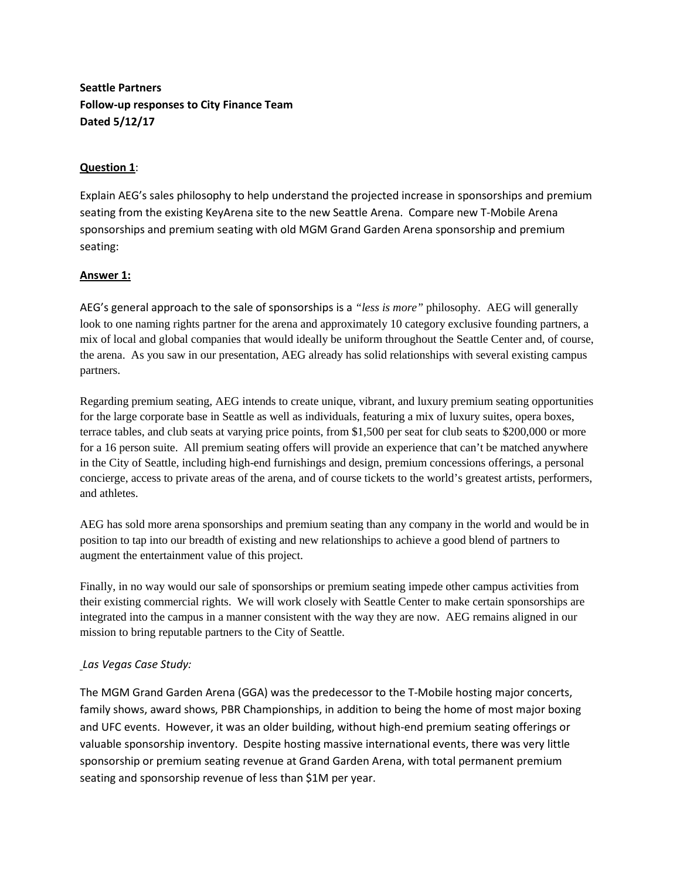# **Seattle Partners Follow-up responses to City Finance Team Dated 5/12/17**

## **Question 1**:

Explain AEG's sales philosophy to help understand the projected increase in sponsorships and premium seating from the existing KeyArena site to the new Seattle Arena. Compare new T-Mobile Arena sponsorships and premium seating with old MGM Grand Garden Arena sponsorship and premium seating:

### **Answer 1:**

AEG's general approach to the sale of sponsorships is a *"less is more"* philosophy. AEG will generally look to one naming rights partner for the arena and approximately 10 category exclusive founding partners, a mix of local and global companies that would ideally be uniform throughout the Seattle Center and, of course, the arena. As you saw in our presentation, AEG already has solid relationships with several existing campus partners.

Regarding premium seating, AEG intends to create unique, vibrant, and luxury premium seating opportunities for the large corporate base in Seattle as well as individuals, featuring a mix of luxury suites, opera boxes, terrace tables, and club seats at varying price points, from \$1,500 per seat for club seats to \$200,000 or more for a 16 person suite. All premium seating offers will provide an experience that can't be matched anywhere in the City of Seattle, including high-end furnishings and design, premium concessions offerings, a personal concierge, access to private areas of the arena, and of course tickets to the world's greatest artists, performers, and athletes.

AEG has sold more arena sponsorships and premium seating than any company in the world and would be in position to tap into our breadth of existing and new relationships to achieve a good blend of partners to augment the entertainment value of this project.

Finally, in no way would our sale of sponsorships or premium seating impede other campus activities from their existing commercial rights. We will work closely with Seattle Center to make certain sponsorships are integrated into the campus in a manner consistent with the way they are now. AEG remains aligned in our mission to bring reputable partners to the City of Seattle.

### *Las Vegas Case Study:*

The MGM Grand Garden Arena (GGA) was the predecessor to the T-Mobile hosting major concerts, family shows, award shows, PBR Championships, in addition to being the home of most major boxing and UFC events. However, it was an older building, without high-end premium seating offerings or valuable sponsorship inventory. Despite hosting massive international events, there was very little sponsorship or premium seating revenue at Grand Garden Arena, with total permanent premium seating and sponsorship revenue of less than \$1M per year.